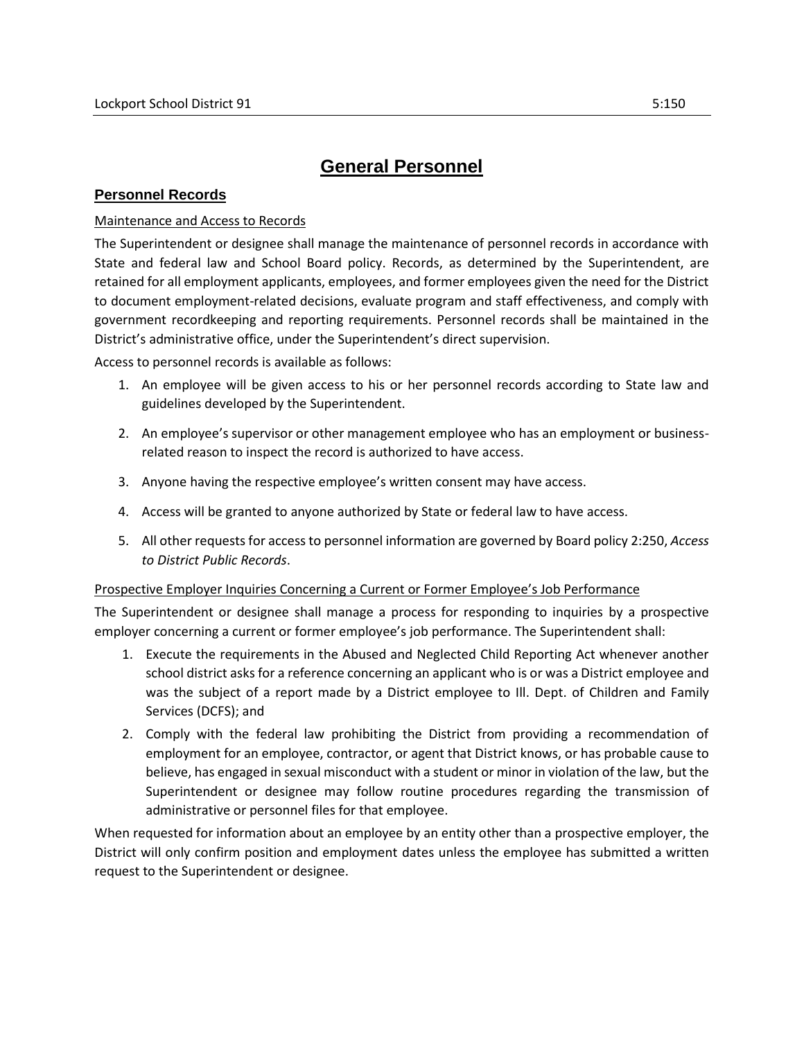## **General Personnel**

## **Personnel Records**

## Maintenance and Access to Records

The Superintendent or designee shall manage the maintenance of personnel records in accordance with State and federal law and School Board policy. Records, as determined by the Superintendent, are retained for all employment applicants, employees, and former employees given the need for the District to document employment-related decisions, evaluate program and staff effectiveness, and comply with government recordkeeping and reporting requirements. Personnel records shall be maintained in the District's administrative office, under the Superintendent's direct supervision.

Access to personnel records is available as follows:

- 1. An employee will be given access to his or her personnel records according to State law and guidelines developed by the Superintendent.
- 2. An employee's supervisor or other management employee who has an employment or businessrelated reason to inspect the record is authorized to have access.
- 3. Anyone having the respective employee's written consent may have access.
- 4. Access will be granted to anyone authorized by State or federal law to have access.
- 5. All other requests for access to personnel information are governed by Board policy 2:250, *Access to District Public Records*.

## Prospective Employer Inquiries Concerning a Current or Former Employee's Job Performance

The Superintendent or designee shall manage a process for responding to inquiries by a prospective employer concerning a current or former employee's job performance. The Superintendent shall:

- 1. Execute the requirements in the Abused and Neglected Child Reporting Act whenever another school district asks for a reference concerning an applicant who is or was a District employee and was the subject of a report made by a District employee to Ill. Dept. of Children and Family Services (DCFS); and
- 2. Comply with the federal law prohibiting the District from providing a recommendation of employment for an employee, contractor, or agent that District knows, or has probable cause to believe, has engaged in sexual misconduct with a student or minor in violation of the law, but the Superintendent or designee may follow routine procedures regarding the transmission of administrative or personnel files for that employee.

When requested for information about an employee by an entity other than a prospective employer, the District will only confirm position and employment dates unless the employee has submitted a written request to the Superintendent or designee.